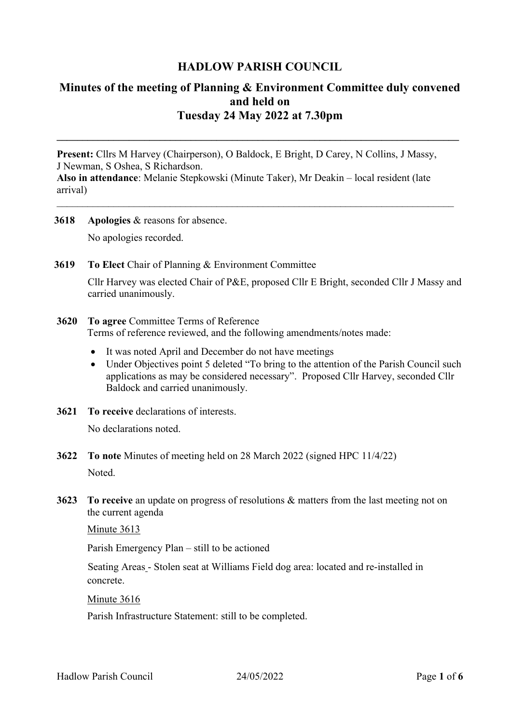# **HADLOW PARISH COUNCIL**

# **Minutes of the meeting of Planning & Environment Committee duly convened and held on Tuesday 24 May 2022 at 7.30pm**

**\_\_\_\_\_\_\_\_\_\_\_\_\_\_\_\_\_\_\_\_\_\_\_\_\_\_\_\_\_\_\_\_\_\_\_\_\_\_\_\_\_\_\_\_\_\_\_\_\_\_\_\_\_\_\_\_\_\_\_\_\_\_\_\_\_\_\_\_\_\_\_\_\_\_\_\_\_\_**

**Present:** Cllrs M Harvey (Chairperson), O Baldock, E Bright, D Carey, N Collins, J Massy, J Newman, S Oshea, S Richardson.

**Also in attendance**: Melanie Stepkowski (Minute Taker), Mr Deakin – local resident (late arrival)

\_\_\_\_\_\_\_\_\_\_\_\_\_\_\_\_\_\_\_\_\_\_\_\_\_\_\_\_\_\_\_\_\_\_\_\_\_\_\_\_\_\_\_\_\_\_\_\_\_\_\_\_\_\_\_\_\_\_\_\_\_\_\_\_\_\_\_\_\_\_\_\_\_\_\_\_\_

- **3618 Apologies** & reasons for absence. No apologies recorded.
- **3619 To Elect** Chair of Planning & Environment Committee Cllr Harvey was elected Chair of P&E, proposed Cllr E Bright, seconded Cllr J Massy and carried unanimously.
- **3620 To agree** Committee Terms of Reference Terms of reference reviewed, and the following amendments/notes made:
	- It was noted April and December do not have meetings
	- Under Objectives point 5 deleted "To bring to the attention of the Parish Council such applications as may be considered necessary". Proposed Cllr Harvey, seconded Cllr Baldock and carried unanimously.
- **3621 To receive** declarations of interests. No declarations noted.
- **3622 To note** Minutes of meeting held on 28 March 2022 (signed HPC 11/4/22) Noted.
- **3623 To receive** an update on progress of resolutions & matters from the last meeting not on the current agenda

Minute 3613

Parish Emergency Plan – still to be actioned

Seating Areas - Stolen seat at Williams Field dog area: located and re-installed in concrete.

Minute 3616

Parish Infrastructure Statement: still to be completed.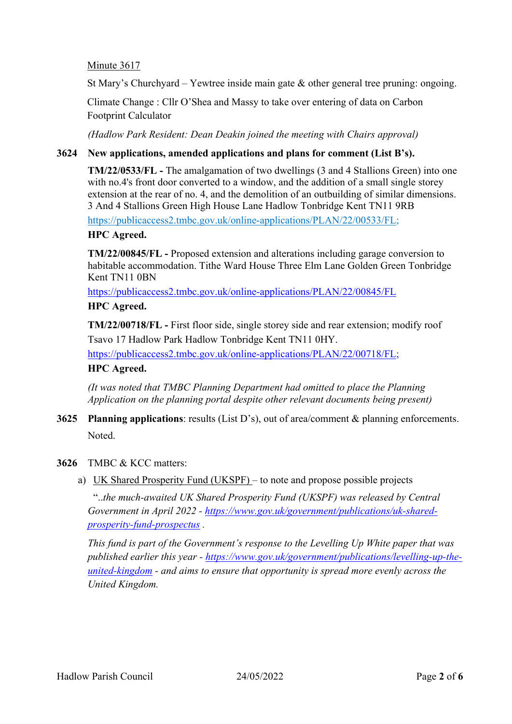## Minute 3617

St Mary's Churchyard – Yewtree inside main gate  $\&$  other general tree pruning: ongoing.

Climate Change : Cllr O'Shea and Massy to take over entering of data on Carbon Footprint Calculator

*(Hadlow Park Resident: Dean Deakin joined the meeting with Chairs approval)*

## **3624 New applications, amended applications and plans for comment (List B's).**

**TM/22/0533/FL -** The amalgamation of two dwellings (3 and 4 Stallions Green) into one with no.4's front door converted to a window, and the addition of a small single storey extension at the rear of no. 4, and the demolition of an outbuilding of similar dimensions. 3 And 4 Stallions Green High House Lane Hadlow Tonbridge Kent TN11 9RB

[https://publicaccess2.tmbc.gov.uk/online-applications/PLAN/22/00533/FL;](https://publicaccess2.tmbc.gov.uk/online-applications/PLAN/22/00533/FL)

### **HPC Agreed.**

**TM/22/00845/FL -** Proposed extension and alterations including garage conversion to habitable accommodation. Tithe Ward House Three Elm Lane Golden Green Tonbridge Kent TN11 0BN

<https://publicaccess2.tmbc.gov.uk/online-applications/PLAN/22/00845/FL>

### **HPC Agreed.**

**TM/22/00718/FL -** First floor side, single storey side and rear extension; modify roof Tsavo 17 Hadlow Park Hadlow Tonbridge Kent TN11 0HY.

[https://publicaccess2.tmbc.gov.uk/online-applications/PLAN/22/00718/FL;](https://publicaccess2.tmbc.gov.uk/online-applications/PLAN/22/00718/FL)

## **HPC Agreed.**

*(It was noted that TMBC Planning Department had omitted to place the Planning Application on the planning portal despite other relevant documents being present)*

**3625 Planning applications**: results (List D's), out of area/comment & planning enforcements. Noted.

#### **3626** TMBC & KCC matters:

a) UK Shared Prosperity Fund (UKSPF) – to note and propose possible projects

"..*the much-awaited UK Shared Prosperity Fund (UKSPF) was released by Central Government in April 2022 - [https://www.gov.uk/government/publications/uk-shared](https://www.gov.uk/government/publications/uk-shared-prosperity-fund-prospectus)[prosperity-fund-prospectus](https://www.gov.uk/government/publications/uk-shared-prosperity-fund-prospectus) .*

*This fund is part of the Government's response to the Levelling Up White paper that was published earlier this year - [https://www.gov.uk/government/publications/levelling-up-the](https://www.gov.uk/government/publications/levelling-up-the-united-kingdom)[united-kingdom](https://www.gov.uk/government/publications/levelling-up-the-united-kingdom) - and aims to ensure that opportunity is spread more evenly across the United Kingdom.*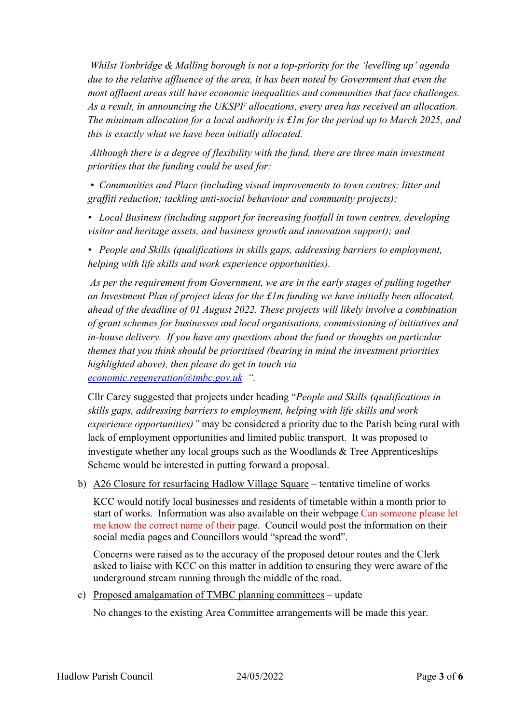*Whilst Tonbridge & Malling borough is not a top-priority for the 'levelling up' agenda due to the relative affluence of the area, it has been noted by Government that even the most affluent areas still have economic inequalities and communities that face challenges. As a result, in announcing the UKSPF allocations, every area has received an allocation. The minimum allocation for a local authority is £1m for the period up to March 2025, and this is exactly what we have been initially allocated.*

*Although there is a degree of flexibility with the fund, there are three main investment priorities that the funding could be used for:*

*• Communities and Place (including visual improvements to town centres; litter and graffiti reduction; tackling anti-social behaviour and community projects);* 

*• Local Business (including support for increasing footfall in town centres, developing visitor and heritage assets, and business growth and innovation support); and* 

*• People and Skills (qualifications in skills gaps, addressing barriers to employment, helping with life skills and work experience opportunities).*

*As per the requirement from Government, we are in the early stages of pulling together an Investment Plan of project ideas for the £1m funding we have initially been allocated, ahead of the deadline of 01 August 2022. These projects will likely involve a combination of grant schemes for businesses and local organisations, commissioning of initiatives and in-house delivery. If you have any questions about the fund or thoughts on particular themes that you think should be prioritised (bearing in mind the investment priorities highlighted above), then please do get in touch via [economic.regeneration@tmbc.gov.uk](mailto:economic.regeneration@tmbc.gov.uk) ".*

Cllr Carey suggested that projects under heading "*People and Skills (qualifications in skills gaps, addressing barriers to employment, helping with life skills and work experience opportunities)"* may be considered a priority due to the Parish being rural with lack of employment opportunities and limited public transport. It was proposed to investigate whether any local groups such as the Woodlands & Tree Apprenticeships Scheme would be interested in putting forward a proposal.

b) A26 Closure for resurfacing Hadlow Village Square – tentative timeline of works

KCC would notify local businesses and residents of timetable within a month prior to start of works. Information was also available on their webpage Can someone please let me know the correct name of their page. Council would post the information on their social media pages and Councillors would "spread the word".

Concerns were raised as to the accuracy of the proposed detour routes and the Clerk asked to liaise with KCC on this matter in addition to ensuring they were aware of the underground stream running through the middle of the road.

c) Proposed amalgamation of TMBC planning committees – update

No changes to the existing Area Committee arrangements will be made this year.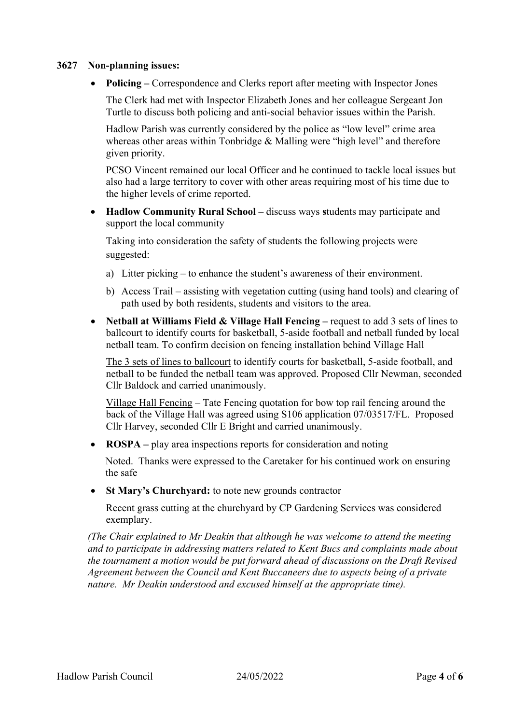#### **3627 Non-planning issues:**

• **Policing** – Correspondence and Clerks report after meeting with Inspector Jones

The Clerk had met with Inspector Elizabeth Jones and her colleague Sergeant Jon Turtle to discuss both policing and anti-social behavior issues within the Parish.

Hadlow Parish was currently considered by the police as "low level" crime area whereas other areas within Tonbridge & Malling were "high level" and therefore given priority.

PCSO Vincent remained our local Officer and he continued to tackle local issues but also had a large territory to cover with other areas requiring most of his time due to the higher levels of crime reported.

• **Hadlow Community Rural School –** discuss ways **s**tudents may participate and support the local community

Taking into consideration the safety of students the following projects were suggested:

- a) Litter picking to enhance the student's awareness of their environment.
- b) Access Trail assisting with vegetation cutting (using hand tools) and clearing of path used by both residents, students and visitors to the area.
- **Netball at Williams Field & Village Hall Fencing –** request to add 3 sets of lines to ballcourt to identify courts for basketball, 5-aside football and netball funded by local netball team. To confirm decision on fencing installation behind Village Hall

The 3 sets of lines to ballcourt to identify courts for basketball, 5-aside football, and netball to be funded the netball team was approved. Proposed Cllr Newman, seconded Cllr Baldock and carried unanimously.

Village Hall Fencing – Tate Fencing quotation for bow top rail fencing around the back of the Village Hall was agreed using S106 application 07/03517/FL. Proposed Cllr Harvey, seconded Cllr E Bright and carried unanimously.

• **ROSPA** – play area inspections reports for consideration and noting

Noted. Thanks were expressed to the Caretaker for his continued work on ensuring the safe

• **St Mary's Churchyard:** to note new grounds contractor

Recent grass cutting at the churchyard by CP Gardening Services was considered exemplary.

*(The Chair explained to Mr Deakin that although he was welcome to attend the meeting and to participate in addressing matters related to Kent Bucs and complaints made about the tournament a motion would be put forward ahead of discussions on the Draft Revised Agreement between the Council and Kent Buccaneers due to aspects being of a private nature. Mr Deakin understood and excused himself at the appropriate time).*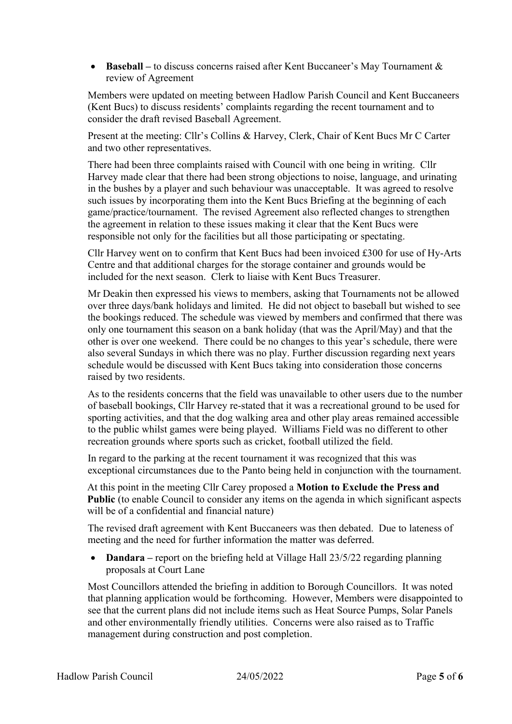• **Baseball** – to discuss concerns raised after Kent Buccaneer's May Tournament & review of Agreement

Members were updated on meeting between Hadlow Parish Council and Kent Buccaneers (Kent Bucs) to discuss residents' complaints regarding the recent tournament and to consider the draft revised Baseball Agreement.

Present at the meeting: Cllr's Collins & Harvey, Clerk, Chair of Kent Bucs Mr C Carter and two other representatives.

There had been three complaints raised with Council with one being in writing. Cllr Harvey made clear that there had been strong objections to noise, language, and urinating in the bushes by a player and such behaviour was unacceptable. It was agreed to resolve such issues by incorporating them into the Kent Bucs Briefing at the beginning of each game/practice/tournament. The revised Agreement also reflected changes to strengthen the agreement in relation to these issues making it clear that the Kent Bucs were responsible not only for the facilities but all those participating or spectating.

Cllr Harvey went on to confirm that Kent Bucs had been invoiced £300 for use of Hy-Arts Centre and that additional charges for the storage container and grounds would be included for the next season. Clerk to liaise with Kent Bucs Treasurer.

Mr Deakin then expressed his views to members, asking that Tournaments not be allowed over three days/bank holidays and limited. He did not object to baseball but wished to see the bookings reduced. The schedule was viewed by members and confirmed that there was only one tournament this season on a bank holiday (that was the April/May) and that the other is over one weekend. There could be no changes to this year's schedule, there were also several Sundays in which there was no play. Further discussion regarding next years schedule would be discussed with Kent Bucs taking into consideration those concerns raised by two residents.

As to the residents concerns that the field was unavailable to other users due to the number of baseball bookings, Cllr Harvey re-stated that it was a recreational ground to be used for sporting activities, and that the dog walking area and other play areas remained accessible to the public whilst games were being played. Williams Field was no different to other recreation grounds where sports such as cricket, football utilized the field.

In regard to the parking at the recent tournament it was recognized that this was exceptional circumstances due to the Panto being held in conjunction with the tournament.

At this point in the meeting Cllr Carey proposed a **Motion to Exclude the Press and Public** (to enable Council to consider any items on the agenda in which significant aspects will be of a confidential and financial nature)

The revised draft agreement with Kent Buccaneers was then debated. Due to lateness of meeting and the need for further information the matter was deferred.

• **Dandara –** report on the briefing held at Village Hall 23/5/22 regarding planning proposals at Court Lane

Most Councillors attended the briefing in addition to Borough Councillors. It was noted that planning application would be forthcoming. However, Members were disappointed to see that the current plans did not include items such as Heat Source Pumps, Solar Panels and other environmentally friendly utilities. Concerns were also raised as to Traffic management during construction and post completion.